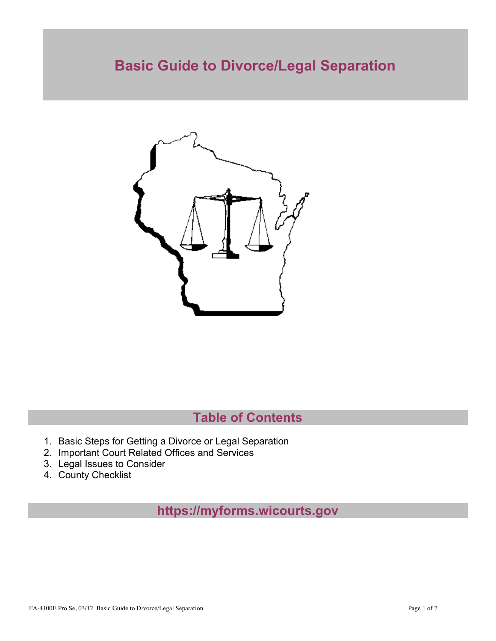# **Basic Guide to Divorce/Legal Separation**



# **Table of Contents**

- 1. Basic Steps for Getting a Divorce or Legal Separation
- 2. Important Court Related Offices and Services
- 3. Legal Issues to Consider
- 4. County Checklist

**https://myforms.wicourts.gov**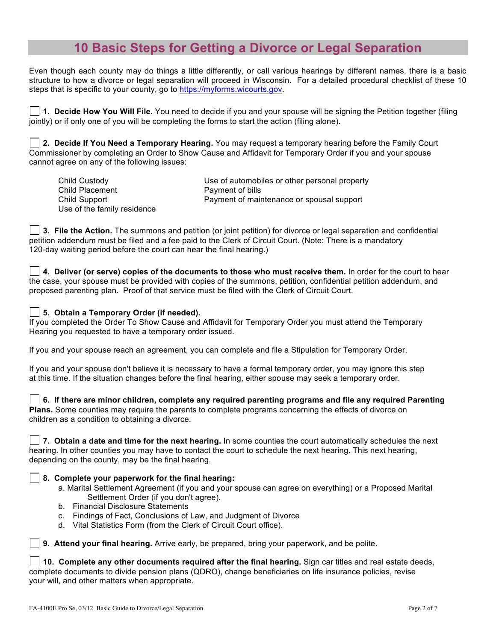### **10 Basic Steps for Getting a Divorce or Legal Separation**

Even though each county may do things a little differently, or call various hearings by different names, there is a basic structure to how a divorce or legal separation will proceed in Wisconsin. For a detailed procedural checklist of these 10 steps that is specific to your county, go to https://myforms.wicourts.gov.

**1. Decide How You Will File.** You need to decide if you and your spouse will be signing the Petition together (filing jointly) or if only one of you will be completing the forms to start the action (filing alone).

**2. Decide If You Need a Temporary Hearing.** You may request a temporary hearing before the Family Court Commissioner by completing an Order to Show Cause and Affidavit for Temporary Order if you and your spouse cannot agree on any of the following issues:

| Child Custody               | Use of automobiles or other personal property |
|-----------------------------|-----------------------------------------------|
| Child Placement             | Payment of bills                              |
| Child Support               | Payment of maintenance or spousal support     |
| Use of the family residence |                                               |

**3. File the Action.** The summons and petition (or joint petition) for divorce or legal separation and confidential petition addendum must be filed and a fee paid to the Clerk of Circuit Court. (Note: There is a mandatory 120-day waiting period before the court can hear the final hearing.)

**4. Deliver (or serve) copies of the documents to those who must receive them.** In order for the court to hear the case, your spouse must be provided with copies of the summons, petition, confidential petition addendum, and proposed parenting plan. Proof of that service must be filed with the Clerk of Circuit Court.

#### **5. Obtain a Temporary Order (if needed).**

If you completed the Order To Show Cause and Affidavit for Temporary Order you must attend the Temporary Hearing you requested to have a temporary order issued.

If you and your spouse reach an agreement, you can complete and file a Stipulation for Temporary Order.

If you and your spouse don't believe it is necessary to have a formal temporary order, you may ignore this step at this time. If the situation changes before the final hearing, either spouse may seek a temporary order.

**6. If there are minor children, complete any required parenting programs and file any required Parenting Plans.** Some counties may require the parents to complete programs concerning the effects of divorce on children as a condition to obtaining a divorce.

**7. Obtain a date and time for the next hearing.** In some counties the court automatically schedules the next hearing. In other counties you may have to contact the court to schedule the next hearing. This next hearing, depending on the county, may be the final hearing.

#### **8. Complete your paperwork for the final hearing:**

- a. Marital Settlement Agreement (if you and your spouse can agree on everything) or a Proposed Marital Settlement Order (if you don't agree).
- b. Financial Disclosure Statements
- c. Findings of Fact, Conclusions of Law, and Judgment of Divorce
- d. Vital Statistics Form (from the Clerk of Circuit Court office).

**9. Attend your final hearing.** Arrive early, be prepared, bring your paperwork, and be polite.

**10. Complete any other documents required after the final hearing.** Sign car titles and real estate deeds, complete documents to divide pension plans (QDRO), change beneficiaries on life insurance policies, revise your will, and other matters when appropriate.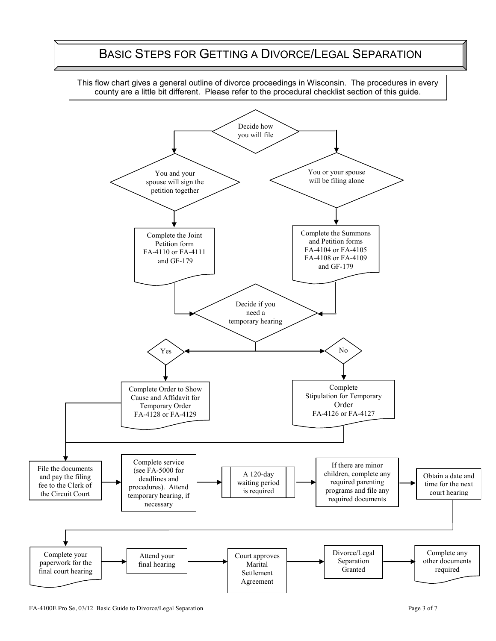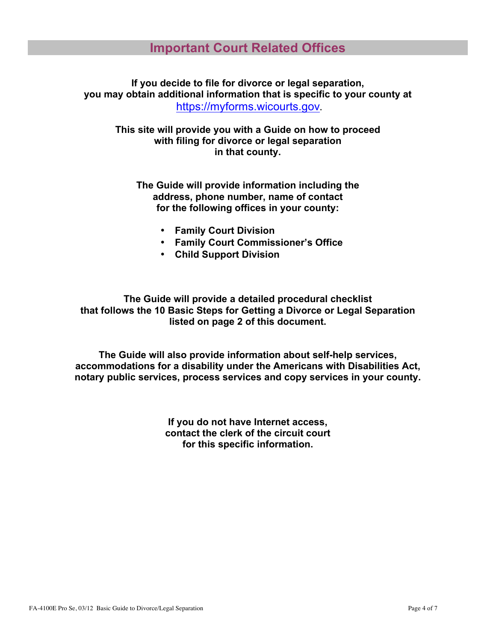**If you decide to file for divorce or legal separation, you may obtain additional information that is specific to your county at** https://myforms.wicourts.gov**.**

**This site will provide you with a Guide on how to proceed with filing for divorce or legal separation in that county.**

**The Guide will provide information including the address, phone number, name of contact for the following offices in your county:**

- **Family Court Division**
- **Family Court Commissioner's Office**
- **Child Support Division**

**The Guide will provide a detailed procedural checklist that follows the 10 Basic Steps for Getting a Divorce or Legal Separation listed on page 2 of this document.** 

**The Guide will also provide information about self-help services, accommodations for a disability under the Americans with Disabilities Act, notary public services, process services and copy services in your county.**

> **If you do not have Internet access, contact the clerk of the circuit court for this specific information.**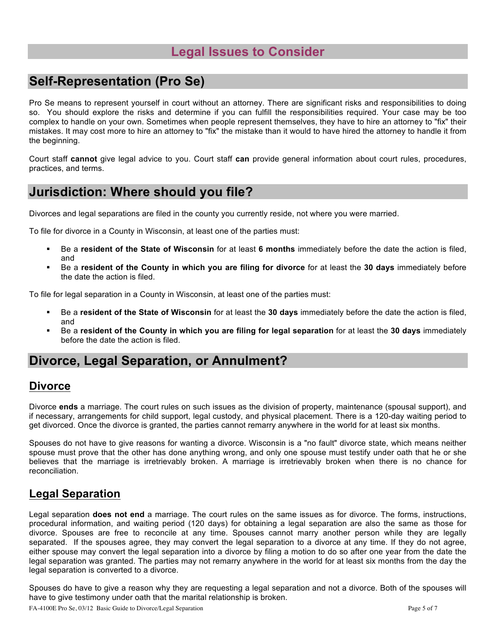### **Legal Issues to Consider**

## **Self-Representation (Pro Se)**

Pro Se means to represent yourself in court without an attorney. There are significant risks and responsibilities to doing so. You should explore the risks and determine if you can fulfill the responsibilities required. Your case may be too complex to handle on your own. Sometimes when people represent themselves, they have to hire an attorney to "fix" their mistakes. It may cost more to hire an attorney to "fix" the mistake than it would to have hired the attorney to handle it from the beginning.

Court staff **cannot** give legal advice to you. Court staff **can** provide general information about court rules, procedures, practices, and terms.

### **Jurisdiction: Where should you file?**

Divorces and legal separations are filed in the county you currently reside, not where you were married.

To file for divorce in a County in Wisconsin, at least one of the parties must:

- ! Be a **resident of the State of Wisconsin** for at least **6 months** immediately before the date the action is filed, and
- ! Be a **resident of the County in which you are filing for divorce** for at least the **30 days** immediately before the date the action is filed.

To file for legal separation in a County in Wisconsin, at least one of the parties must:

- ! Be a **resident of the State of Wisconsin** for at least the **30 days** immediately before the date the action is filed, and
- ! Be a **resident of the County in which you are filing for legal separation** for at least the **30 days** immediately before the date the action is filed.

### **Divorce, Legal Separation, or Annulment?**

#### **Divorce**

Divorce **ends** a marriage. The court rules on such issues as the division of property, maintenance (spousal support), and if necessary, arrangements for child support, legal custody, and physical placement. There is a 120-day waiting period to get divorced. Once the divorce is granted, the parties cannot remarry anywhere in the world for at least six months.

Spouses do not have to give reasons for wanting a divorce. Wisconsin is a "no fault" divorce state, which means neither spouse must prove that the other has done anything wrong, and only one spouse must testify under oath that he or she believes that the marriage is irretrievably broken. A marriage is irretrievably broken when there is no chance for reconciliation.

### **Legal Separation**

Legal separation **does not end** a marriage. The court rules on the same issues as for divorce. The forms, instructions, procedural information, and waiting period (120 days) for obtaining a legal separation are also the same as those for divorce. Spouses are free to reconcile at any time. Spouses cannot marry another person while they are legally separated. If the spouses agree, they may convert the legal separation to a divorce at any time. If they do not agree, either spouse may convert the legal separation into a divorce by filing a motion to do so after one year from the date the legal separation was granted. The parties may not remarry anywhere in the world for at least six months from the day the legal separation is converted to a divorce.

Spouses do have to give a reason why they are requesting a legal separation and not a divorce. Both of the spouses will have to give testimony under oath that the marital relationship is broken.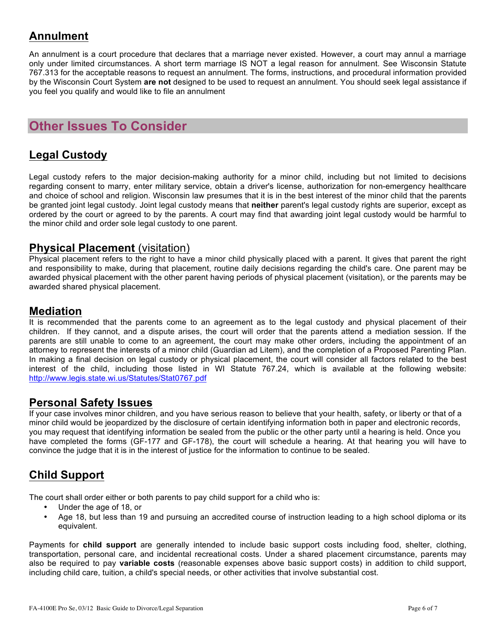### **Annulment**

An annulment is a court procedure that declares that a marriage never existed. However, a court may annul a marriage only under limited circumstances. A short term marriage IS NOT a legal reason for annulment. See Wisconsin Statute 767.313 for the acceptable reasons to request an annulment. The forms, instructions, and procedural information provided by the Wisconsin Court System **are not** designed to be used to request an annulment. You should seek legal assistance if you feel you qualify and would like to file an annulment

## **Other Issues To Consider**

### **Legal Custody**

Legal custody refers to the major decision-making authority for a minor child, including but not limited to decisions regarding consent to marry, enter military service, obtain a driver's license, authorization for non-emergency healthcare and choice of school and religion. Wisconsin law presumes that it is in the best interest of the minor child that the parents be granted joint legal custody. Joint legal custody means that **neither** parent's legal custody rights are superior, except as ordered by the court or agreed to by the parents. A court may find that awarding joint legal custody would be harmful to the minor child and order sole legal custody to one parent.

#### **Physical Placement** (visitation)

Physical placement refers to the right to have a minor child physically placed with a parent. It gives that parent the right and responsibility to make, during that placement, routine daily decisions regarding the child's care. One parent may be awarded physical placement with the other parent having periods of physical placement (visitation), or the parents may be awarded shared physical placement.

#### **Mediation**

It is recommended that the parents come to an agreement as to the legal custody and physical placement of their children. If they cannot, and a dispute arises, the court will order that the parents attend a mediation session. If the parents are still unable to come to an agreement, the court may make other orders, including the appointment of an attorney to represent the interests of a minor child (Guardian ad Litem), and the completion of a Proposed Parenting Plan. In making a final decision on legal custody or physical placement, the court will consider all factors related to the best interest of the child, including those listed in WI Statute 767.24, which is available at the following website: http://www.legis.state.wi.us/Statutes/Stat0767.pdf

#### **Personal Safety Issues**

If your case involves minor children, and you have serious reason to believe that your health, safety, or liberty or that of a minor child would be jeopardized by the disclosure of certain identifying information both in paper and electronic records, you may request that identifying information be sealed from the public or the other party until a hearing is held. Once you have completed the forms (GF-177 and GF-178), the court will schedule a hearing. At that hearing you will have to convince the judge that it is in the interest of justice for the information to continue to be sealed.

### **Child Support**

The court shall order either or both parents to pay child support for a child who is:

- Under the age of 18, or
- Age 18, but less than 19 and pursuing an accredited course of instruction leading to a high school diploma or its equivalent.

Payments for **child support** are generally intended to include basic support costs including food, shelter, clothing, transportation, personal care, and incidental recreational costs. Under a shared placement circumstance, parents may also be required to pay **variable costs** (reasonable expenses above basic support costs) in addition to child support, including child care, tuition, a child's special needs, or other activities that involve substantial cost.